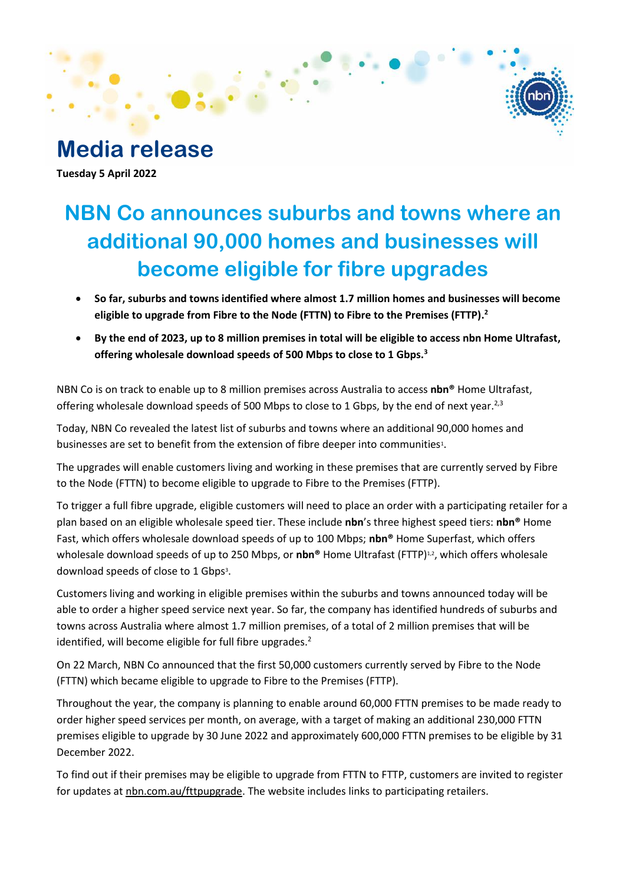

**Media release Tuesday 5 April 2022**

# **NBN Co announces suburbs and towns where an additional 90,000 homes and businesses will become eligible for fibre upgrades**

- **So far, suburbs and towns identified where almost 1.7 million homes and businesses will become eligible to upgrade from Fibre to the Node (FTTN) to Fibre to the Premises (FTTP). 2**
- **By the end of 2023, up to 8 million premises in total will be eligible to access nbn Home Ultrafast, offering wholesale download speeds of 500 Mbps to close to 1 Gbps. 3**

NBN Co is on track to enable up to 8 million premises across Australia to access **nbn®** Home Ultrafast, offering wholesale download speeds of 500 Mbps to close to 1 Gbps, by the end of next year.<sup>2,3</sup>

Today, NBN Co revealed the latest list of suburbs and towns where an additional 90,000 homes and businesses are set to benefit from the extension of fibre deeper into communities<sup>1</sup>.

The upgrades will enable customers living and working in these premises that are currently served by Fibre to the Node (FTTN) to become eligible to upgrade to Fibre to the Premises (FTTP).

To trigger a full fibre upgrade, eligible customers will need to place an order with a participating retailer for a plan based on an eligible wholesale speed tier. These include **nbn**'s three highest speed tiers: **nbn®** Home Fast, which offers wholesale download speeds of up to 100 Mbps; **nbn®** Home Superfast, which offers wholesale download speeds of up to 250 Mbps, or **nbn®** Home Ultrafast (FTTP)<sup>1,2</sup>, which offers wholesale download speeds of close to 1 Gbps<sup>3</sup>.

Customers living and working in eligible premises within the suburbs and towns announced today will be able to order a higher speed service next year. So far, the company has identified hundreds of suburbs and towns across Australia where almost 1.7 million premises, of a total of 2 million premises that will be identified, will become eligible for full fibre upgrades.<sup>2</sup>

On 22 March, NBN Co announced that the first 50,000 customers currently served by Fibre to the Node (FTTN) which became eligible to upgrade to Fibre to the Premises (FTTP).

Throughout the year, the company is planning to enable around 60,000 FTTN premises to be made ready to order higher speed services per month, on average, with a target of making an additional 230,000 FTTN premises eligible to upgrade by 30 June 2022 and approximately 600,000 FTTN premises to be eligible by 31 December 2022.

To find out if their premises may be eligible to upgrade from FTTN to FTTP, customers are invited to register for updates at nbn.com.au/fttpupgrade. The website includes links to participating retailers.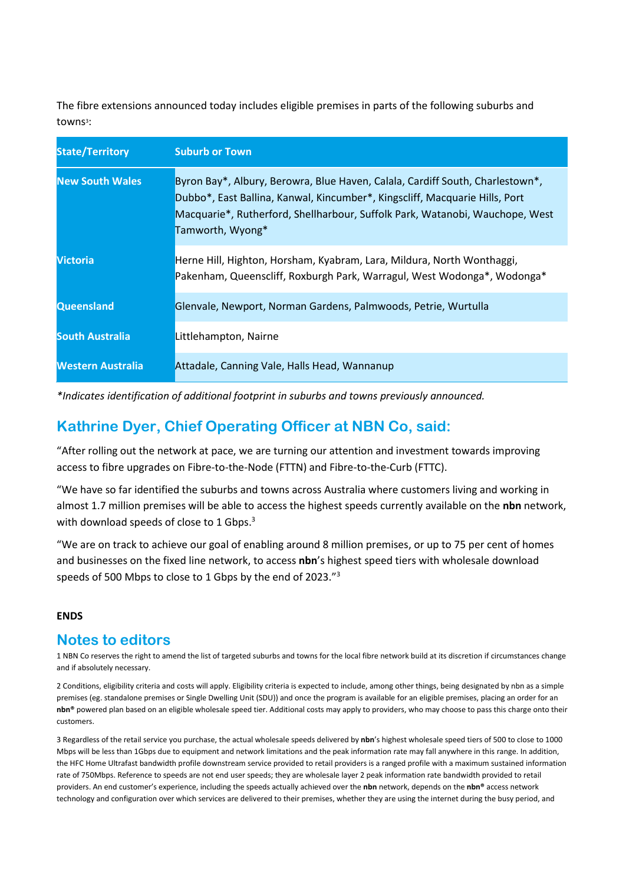The fibre extensions announced today includes eligible premises in parts of the following suburbs and towns<sup>3</sup>:

| <b>State/Territory</b> | <b>Suburb or Town</b>                                                                                                                                                                                                                                            |
|------------------------|------------------------------------------------------------------------------------------------------------------------------------------------------------------------------------------------------------------------------------------------------------------|
| <b>New South Wales</b> | Byron Bay*, Albury, Berowra, Blue Haven, Calala, Cardiff South, Charlestown*,<br>Dubbo*, East Ballina, Kanwal, Kincumber*, Kingscliff, Macquarie Hills, Port<br>Macquarie*, Rutherford, Shellharbour, Suffolk Park, Watanobi, Wauchope, West<br>Tamworth, Wyong* |
| Victoria               | Herne Hill, Highton, Horsham, Kyabram, Lara, Mildura, North Wonthaggi,<br>Pakenham, Queenscliff, Roxburgh Park, Warragul, West Wodonga*, Wodonga*                                                                                                                |
| <b>Queensland</b>      | Glenvale, Newport, Norman Gardens, Palmwoods, Petrie, Wurtulla                                                                                                                                                                                                   |
| <b>South Australia</b> | Littlehampton, Nairne                                                                                                                                                                                                                                            |
| Western Australia      | Attadale, Canning Vale, Halls Head, Wannanup                                                                                                                                                                                                                     |

*\*Indicates identification of additional footprint in suburbs and towns previously announced.*

## **Kathrine Dyer, Chief Operating Officer at NBN Co, said:**

"After rolling out the network at pace, we are turning our attention and investment towards improving access to fibre upgrades on Fibre-to-the-Node (FTTN) and Fibre-to-the-Curb (FTTC).

"We have so far identified the suburbs and towns across Australia where customers living and working in almost 1.7 million premises will be able to access the highest speeds currently available on the **nbn** network, with download speeds of close to 1 Gbps.<sup>3</sup>

"We are on track to achieve our goal of enabling around 8 million premises, or up to 75 per cent of homes and businesses on the fixed line network, to access **nbn**'s highest speed tiers with wholesale download speeds of 500 Mbps to close to 1 Gbps by the end of 2023."<sup>3</sup>

#### **ENDS**

## **Notes to editors**

1 NBN Co reserves the right to amend the list of targeted suburbs and towns for the local fibre network build at its discretion if circumstances change and if absolutely necessary.

2 Conditions, eligibility criteria and costs will apply. Eligibility criteria is expected to include, among other things, being designated by nbn as a simple premises (eg. standalone premises or Single Dwelling Unit (SDU)) and once the program is available for an eligible premises, placing an order for an **nbn®** powered plan based on an eligible wholesale speed tier. Additional costs may apply to providers, who may choose to pass this charge onto their customers.

3 Regardless of the retail service you purchase, the actual wholesale speeds delivered by **nbn**'s highest wholesale speed tiers of 500 to close to 1000 Mbps will be less than 1Gbps due to equipment and network limitations and the peak information rate may fall anywhere in this range. In addition, the HFC Home Ultrafast bandwidth profile downstream service provided to retail providers is a ranged profile with a maximum sustained information rate of 750Mbps. Reference to speeds are not end user speeds; they are wholesale layer 2 peak information rate bandwidth provided to retail providers. An end customer's experience, including the speeds actually achieved over the **nbn** network, depends on the **nbn®** access network technology and configuration over which services are delivered to their premises, whether they are using the internet during the busy period, and